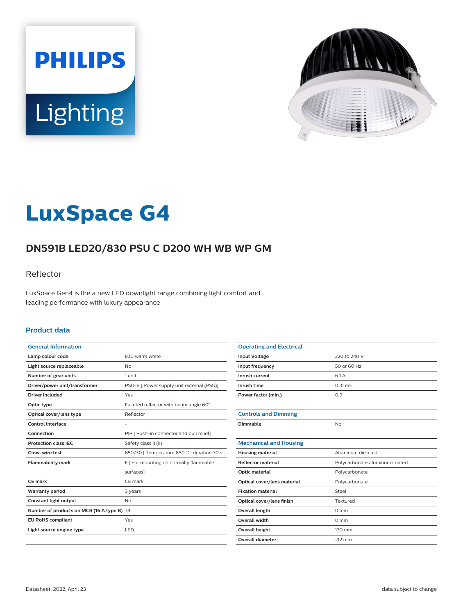



# **LuxSpace G4**

# **DN591B LED20/830 PSU C D200 WH WB WP GM**

### Reflector

LuxSpace Gen4 is the a new LED downlight range combining light comfort and leading performance with luxury appearance

#### **Product data**

| <b>General Information</b>                 |                                             |
|--------------------------------------------|---------------------------------------------|
| Lamp colour code                           | 830 warm white                              |
| Light source replaceable                   | Nο                                          |
| Number of gear units                       | 1 unit                                      |
| Driver/power unit/transformer              | PSU-E [ Power supply unit external (PSU)]   |
| Driver included                            | Yes                                         |
| Optic type                                 | Faceted reflector with beam angle 60°       |
| Optical cover/lens type                    | Reflector                                   |
| Control interface                          |                                             |
| Connection                                 | PIP [ Push-in connector and pull relief]    |
| <b>Protection class IEC</b>                | Safety class II (II)                        |
| Glow-wire test                             | 650/30   Temperature 650 °C, duration 30 s] |
| <b>Flammability mark</b>                   | F   For mounting on normally flammable      |
|                                            | surfaces]                                   |
| CE mark                                    | CE mark                                     |
| <b>Warranty period</b>                     | 3 years                                     |
| Constant light output                      | <b>No</b>                                   |
| Number of products on MCB (16 A type B) 34 |                                             |
| <b>EU RoHS compliant</b>                   | Yes                                         |
| Light source engine type                   | <b>LED</b>                                  |
|                                            |                                             |

| <b>Operating and Electrical</b> |                               |
|---------------------------------|-------------------------------|
| <b>Input Voltage</b>            | 220 to 240 V                  |
| Input frequency                 | 50 or 60 Hz                   |
| Inrush current                  | 6.1 A                         |
| Inrush time                     | $0.31$ ms                     |
| Power factor (min.)             | 0.9                           |
|                                 |                               |
| <b>Controls and Dimming</b>     |                               |
| Dimmable                        | No                            |
|                                 |                               |
| <b>Mechanical and Housing</b>   |                               |
| <b>Housing material</b>         | Aluminum die-cast             |
| Reflector material              | Polycarbonate aluminum coated |
| Optic material                  | Polycarbonate                 |
| Optical cover/lens material     | Polycarbonate                 |
| <b>Fixation material</b>        | Steel                         |
| Optical cover/lens finish       | Textured                      |
| Overall length                  | $0 \text{ mm}$                |
| <b>Overall width</b>            | $0 \text{ mm}$                |
| <b>Overall height</b>           | 130 mm                        |
| <b>Overall diameter</b>         | 212 mm                        |
|                                 |                               |